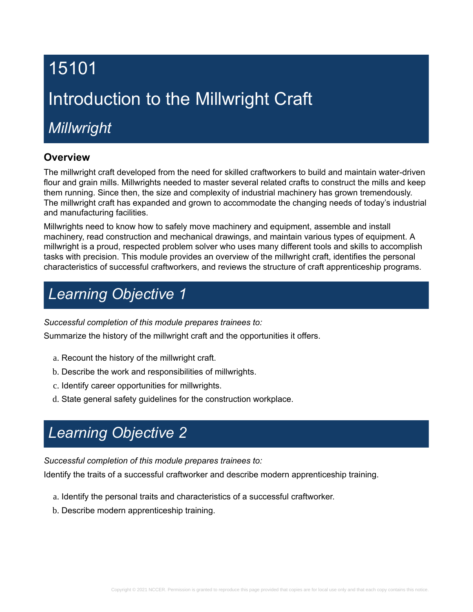# 15101 Introduction to the Millwright Craft

# *Millwright*

## **Overview**

The millwright craft developed from the need for skilled craftworkers to build and maintain water-driven flour and grain mills. Millwrights needed to master several related crafts to construct the mills and keep them running. Since then, the size and complexity of industrial machinery has grown tremendously. The millwright craft has expanded and grown to accommodate the changing needs of today's industrial and manufacturing facilities.

Millwrights need to know how to safely move machinery and equipment, assemble and install machinery, read construction and mechanical drawings, and maintain various types of equipment. A millwright is a proud, respected problem solver who uses many different tools and skills to accomplish tasks with precision. This module provides an overview of the millwright craft, identifies the personal characteristics of successful craftworkers, and reviews the structure of craft apprenticeship programs.

# *Learning Objective 1*

## *Successful completion of this module prepares trainees to:*

Summarize the history of the millwright craft and the opportunities it offers.

- a. Recount the history of the millwright craft.
- b. Describe the work and responsibilities of millwrights.
- c. Identify career opportunities for millwrights.
- d. State general safety guidelines for the construction workplace.

# *Learning Objective 2*

*Successful completion of this module prepares trainees to:*

Identify the traits of a successful craftworker and describe modern apprenticeship training.

- a. Identify the personal traits and characteristics of a successful craftworker.
- b. Describe modern apprenticeship training.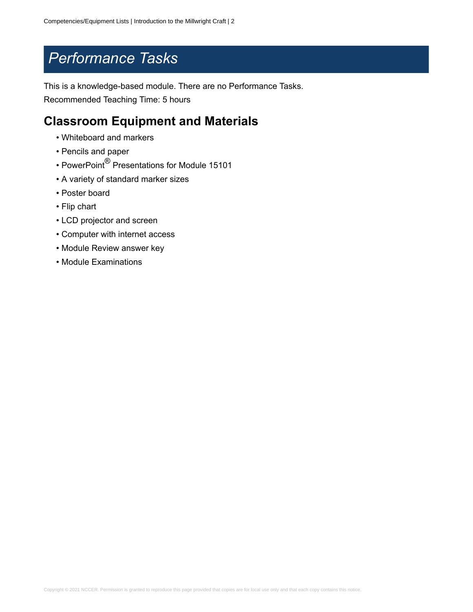## *Performance Tasks*

This is a knowledge-based module. There are no Performance Tasks. Recommended Teaching Time: 5 hours

## **Classroom Equipment and Materials**

- Whiteboard and markers
- Pencils and paper
- PowerPoint® Presentations for Module 15101
- A variety of standard marker sizes
- Poster board
- Flip chart
- LCD projector and screen
- Computer with internet access
- Module Review answer key
- Module Examinations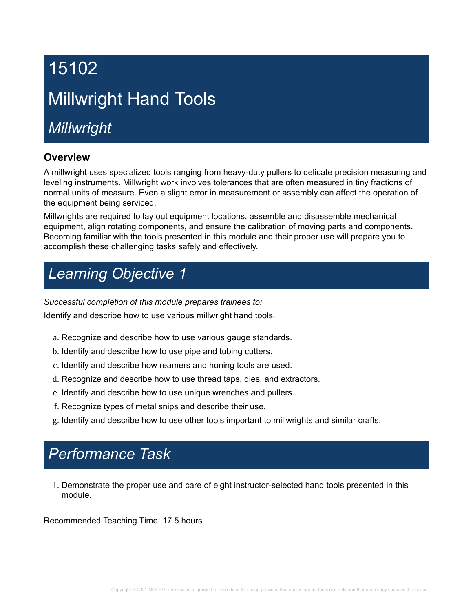# 15102 Millwright Hand Tools

*Millwright*

## **Overview**

A millwright uses specialized tools ranging from heavy-duty pullers to delicate precision measuring and leveling instruments. Millwright work involves tolerances that are often measured in tiny fractions of normal units of measure. Even a slight error in measurement or assembly can affect the operation of the equipment being serviced.

Millwrights are required to lay out equipment locations, assemble and disassemble mechanical equipment, align rotating components, and ensure the calibration of moving parts and components. Becoming familiar with the tools presented in this module and their proper use will prepare you to accomplish these challenging tasks safely and effectively.

# *Learning Objective 1*

*Successful completion of this module prepares trainees to:*

Identify and describe how to use various millwright hand tools.

- a. Recognize and describe how to use various gauge standards.
- b. Identify and describe how to use pipe and tubing cutters.
- c. Identify and describe how reamers and honing tools are used.
- d. Recognize and describe how to use thread taps, dies, and extractors.
- e. Identify and describe how to use unique wrenches and pullers.
- f. Recognize types of metal snips and describe their use.
- g. Identify and describe how to use other tools important to millwrights and similar crafts.

## *Performance Task*

1. Demonstrate the proper use and care of eight instructor-selected hand tools presented in this module.

Recommended Teaching Time: 17.5 hours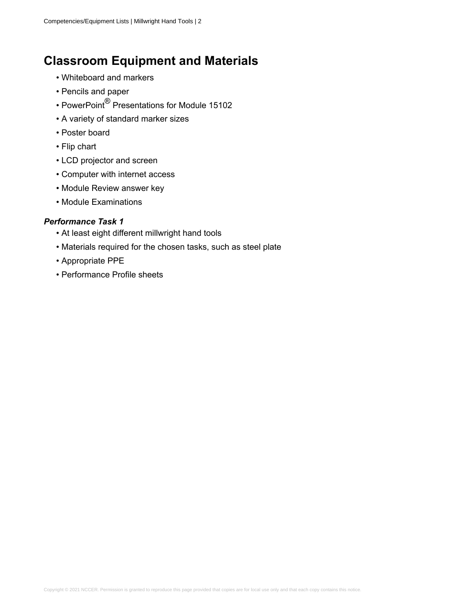## **Classroom Equipment and Materials**

- Whiteboard and markers
- Pencils and paper
- PowerPoint® Presentations for Module 15102
- A variety of standard marker sizes
- Poster board
- Flip chart
- LCD projector and screen
- Computer with internet access
- Module Review answer key
- Module Examinations

- At least eight different millwright hand tools
- Materials required for the chosen tasks, such as steel plate
- Appropriate PPE
- Performance Profile sheets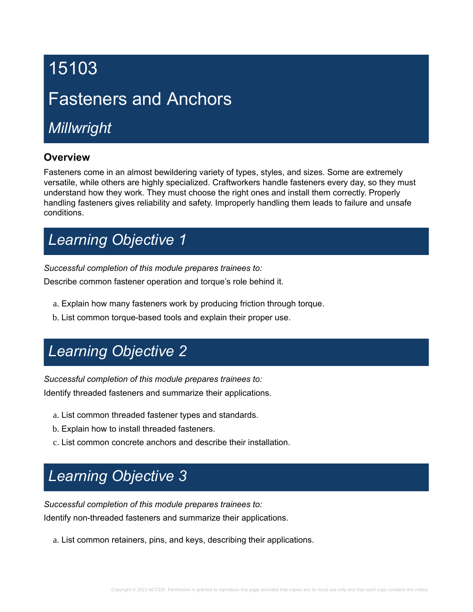# 15103

# Fasteners and Anchors

# *Millwright*

## **Overview**

Fasteners come in an almost bewildering variety of types, styles, and sizes. Some are extremely versatile, while others are highly specialized. Craftworkers handle fasteners every day, so they must understand how they work. They must choose the right ones and install them correctly. Properly handling fasteners gives reliability and safety. Improperly handling them leads to failure and unsafe conditions.

# *Learning Objective 1*

*Successful completion of this module prepares trainees to:*

Describe common fastener operation and torque's role behind it.

- a. Explain how many fasteners work by producing friction through torque.
- b. List common torque-based tools and explain their proper use.

## *Learning Objective 2*

*Successful completion of this module prepares trainees to:*

Identify threaded fasteners and summarize their applications.

- a. List common threaded fastener types and standards.
- b. Explain how to install threaded fasteners.
- c. List common concrete anchors and describe their installation.

# *Learning Objective 3*

*Successful completion of this module prepares trainees to:*

Identify non-threaded fasteners and summarize their applications.

a. List common retainers, pins, and keys, describing their applications.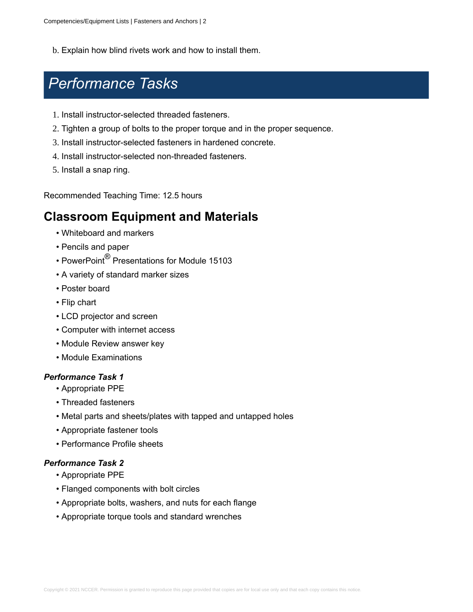b. Explain how blind rivets work and how to install them.

## *Performance Tasks*

- 1. Install instructor-selected threaded fasteners.
- 2. Tighten a group of bolts to the proper torque and in the proper sequence.
- 3. Install instructor-selected fasteners in hardened concrete.
- 4. Install instructor-selected non-threaded fasteners.
- 5. Install a snap ring.

Recommended Teaching Time: 12.5 hours

## **Classroom Equipment and Materials**

- Whiteboard and markers
- Pencils and paper
- PowerPoint® Presentations for Module 15103
- A variety of standard marker sizes
- Poster board
- Flip chart
- LCD projector and screen
- Computer with internet access
- Module Review answer key
- Module Examinations

#### *Performance Task 1*

- Appropriate PPE
- Threaded fasteners
- Metal parts and sheets/plates with tapped and untapped holes
- Appropriate fastener tools
- Performance Profile sheets

- Appropriate PPE
- Flanged components with bolt circles
- Appropriate bolts, washers, and nuts for each flange
- Appropriate torque tools and standard wrenches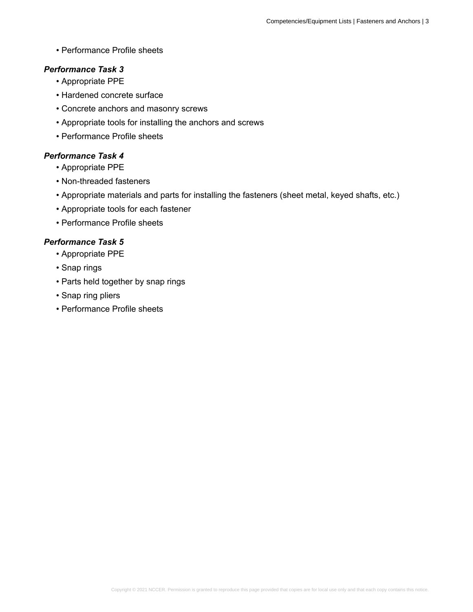• Performance Profile sheets

### *Performance Task 3*

- Appropriate PPE
- Hardened concrete surface
- Concrete anchors and masonry screws
- Appropriate tools for installing the anchors and screws
- Performance Profile sheets

### *Performance Task 4*

- Appropriate PPE
- Non-threaded fasteners
- Appropriate materials and parts for installing the fasteners (sheet metal, keyed shafts, etc.)
- Appropriate tools for each fastener
- Performance Profile sheets

- Appropriate PPE
- Snap rings
- Parts held together by snap rings
- Snap ring pliers
- Performance Profile sheets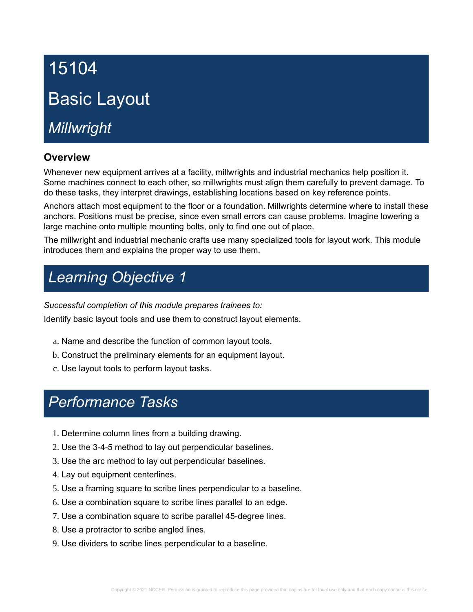# 15104 Basic Layout

*Millwright*

## **Overview**

Whenever new equipment arrives at a facility, millwrights and industrial mechanics help position it. Some machines connect to each other, so millwrights must align them carefully to prevent damage. To do these tasks, they interpret drawings, establishing locations based on key reference points.

Anchors attach most equipment to the floor or a foundation. Millwrights determine where to install these anchors. Positions must be precise, since even small errors can cause problems. Imagine lowering a large machine onto multiple mounting bolts, only to find one out of place.

The millwright and industrial mechanic crafts use many specialized tools for layout work. This module introduces them and explains the proper way to use them.

# *Learning Objective 1*

*Successful completion of this module prepares trainees to:*

Identify basic layout tools and use them to construct layout elements.

- a. Name and describe the function of common layout tools.
- b. Construct the preliminary elements for an equipment layout.
- c. Use layout tools to perform layout tasks.

- 1. Determine column lines from a building drawing.
- 2. Use the 3-4-5 method to lay out perpendicular baselines.
- 3. Use the arc method to lay out perpendicular baselines.
- 4. Lay out equipment centerlines.
- 5. Use a framing square to scribe lines perpendicular to a baseline.
- 6. Use a combination square to scribe lines parallel to an edge.
- 7. Use a combination square to scribe parallel 45-degree lines.
- 8. Use a protractor to scribe angled lines.
- 9. Use dividers to scribe lines perpendicular to a baseline.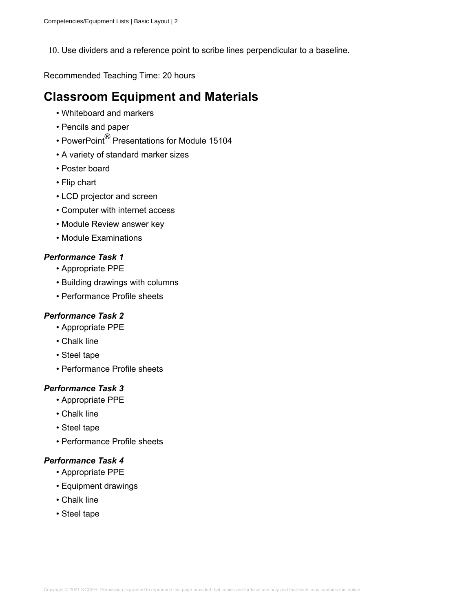10. Use dividers and a reference point to scribe lines perpendicular to a baseline.

Recommended Teaching Time: 20 hours

## **Classroom Equipment and Materials**

- Whiteboard and markers
- Pencils and paper
- PowerPoint® Presentations for Module 15104
- A variety of standard marker sizes
- Poster board
- Flip chart
- LCD projector and screen
- Computer with internet access
- Module Review answer key
- Module Examinations

## *Performance Task 1*

- Appropriate PPE
- Building drawings with columns
- Performance Profile sheets

#### *Performance Task 2*

- Appropriate PPE
- Chalk line
- Steel tape
- Performance Profile sheets

#### *Performance Task 3*

- Appropriate PPE
- Chalk line
- Steel tape
- Performance Profile sheets

- Appropriate PPE
- Equipment drawings
- Chalk line
- Steel tape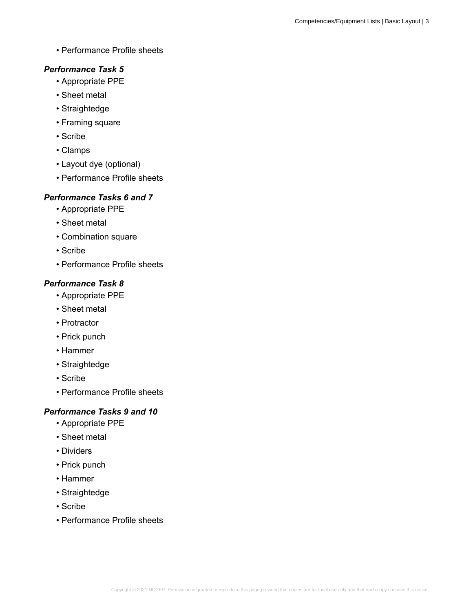• Performance Profile sheets

### *Performance Task 5*

- Appropriate PPE
- Sheet metal
- Straightedge
- Framing square
- Scribe
- Clamps
- Layout dye (optional)
- Performance Profile sheets

## *Performance Tasks 6 and 7*

- Appropriate PPE
- Sheet metal
- Combination square
- Scribe
- Performance Profile sheets

## *Performance Task 8*

- Appropriate PPE
- Sheet metal
- Protractor
- Prick punch
- Hammer
- Straightedge
- Scribe
- Performance Profile sheets

## *Performance Tasks 9 and 10*

- Appropriate PPE
- Sheet metal
- Dividers
- Prick punch
- Hammer
- Straightedge
- Scribe
- Performance Profile sheets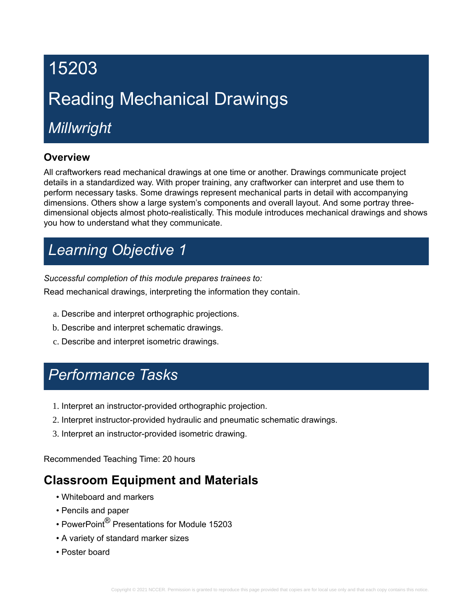# 15203 Reading Mechanical Drawings

# *Millwright*

## **Overview**

All craftworkers read mechanical drawings at one time or another. Drawings communicate project details in a standardized way. With proper training, any craftworker can interpret and use them to perform necessary tasks. Some drawings represent mechanical parts in detail with accompanying dimensions. Others show a large system's components and overall layout. And some portray threedimensional objects almost photo-realistically. This module introduces mechanical drawings and shows you how to understand what they communicate.

# *Learning Objective 1*

*Successful completion of this module prepares trainees to:*

Read mechanical drawings, interpreting the information they contain.

- a. Describe and interpret orthographic projections.
- b. Describe and interpret schematic drawings.
- c. Describe and interpret isometric drawings.

## *Performance Tasks*

- 1. Interpret an instructor-provided orthographic projection.
- 2. Interpret instructor-provided hydraulic and pneumatic schematic drawings.
- 3. Interpret an instructor-provided isometric drawing.

Recommended Teaching Time: 20 hours

## **Classroom Equipment and Materials**

- Whiteboard and markers
- Pencils and paper
- PowerPoint® Presentations for Module 15203
- A variety of standard marker sizes
- Poster board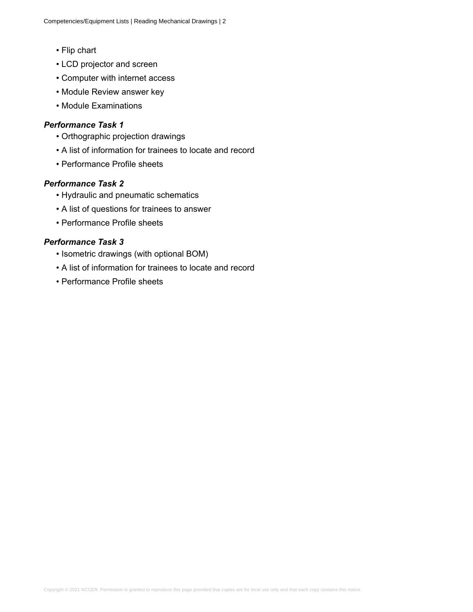- Flip chart
- LCD projector and screen
- Computer with internet access
- Module Review answer key
- Module Examinations

#### *Performance Task 1*

- Orthographic projection drawings
- A list of information for trainees to locate and record
- Performance Profile sheets

#### *Performance Task 2*

- Hydraulic and pneumatic schematics
- A list of questions for trainees to answer
- Performance Profile sheets

- Isometric drawings (with optional BOM)
- A list of information for trainees to locate and record
- Performance Profile sheets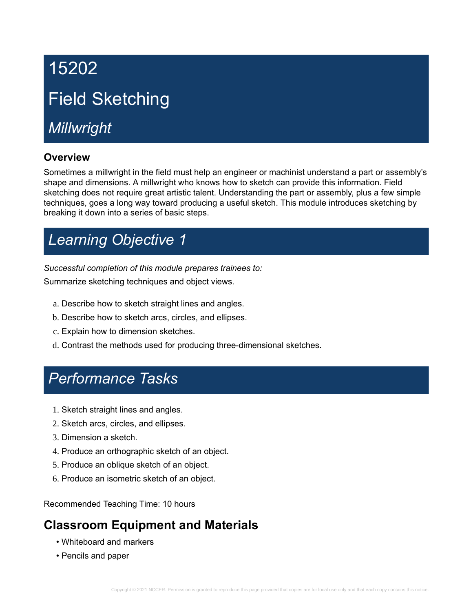# 15202 Field Sketching

# *Millwright*

## **Overview**

Sometimes a millwright in the field must help an engineer or machinist understand a part or assembly's shape and dimensions. A millwright who knows how to sketch can provide this information. Field sketching does not require great artistic talent. Understanding the part or assembly, plus a few simple techniques, goes a long way toward producing a useful sketch. This module introduces sketching by breaking it down into a series of basic steps.

# *Learning Objective 1*

*Successful completion of this module prepares trainees to:* Summarize sketching techniques and object views.

- a. Describe how to sketch straight lines and angles.
- b. Describe how to sketch arcs, circles, and ellipses.
- c. Explain how to dimension sketches.
- d. Contrast the methods used for producing three-dimensional sketches.

## *Performance Tasks*

- 1. Sketch straight lines and angles.
- 2. Sketch arcs, circles, and ellipses.
- 3. Dimension a sketch.
- 4. Produce an orthographic sketch of an object.
- 5. Produce an oblique sketch of an object.
- 6. Produce an isometric sketch of an object.

Recommended Teaching Time: 10 hours

## **Classroom Equipment and Materials**

- Whiteboard and markers
- Pencils and paper